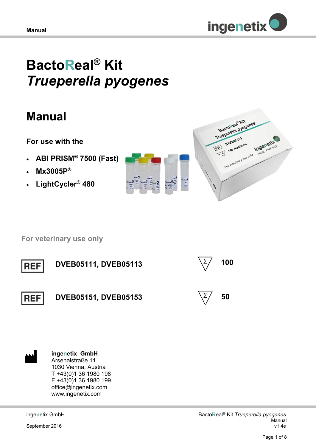

# **BactoReal® Kit**  *Trueperella pyogenes*

## **Manual**

## **For use with the**

- **ABI PRISM® 7500 (Fast)**
- **Mx3005P®**
- **LightCycler® 480**





 **For veterinary use only**





**ingenetix GmbH** Arsenalstraße 11 1030 Vienna, Austria T +43(0)1 36 1980 198 F +43(0)1 36 1980 199 office@ingenetix.com www.ingenetix.com

inge**n**etix GmbH

September 2016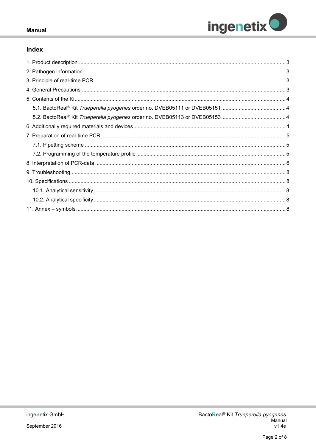

#### **Manual**

#### Index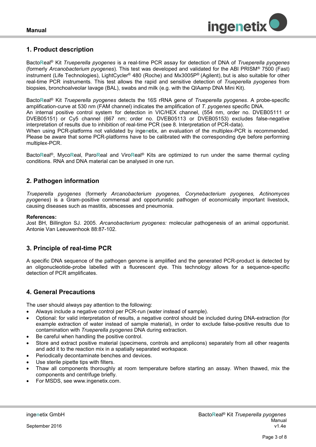

#### <span id="page-2-0"></span>**1. Product description**

Bacto**R**eal® Kit *Trueperella pyogenes* is a real-time PCR assay for detection of DNA of *Trueperella pyogenes* (formerly *Arcanobacterium pyogenes*)*.* This test was developed and validated for the ABI PRISM® 7500 (Fast) instrument (Life Technologies), LightCycler® 480 (Roche) and Mx3005P® (Agilent), but is also suitable for other real-time PCR instruments. This test allows the rapid and sensitive detection of *Trueperella pyogenes* from biopsies, bronchoalveolar lavage (BAL), swabs and milk (e.g. with the QIAamp DNA Mini Kit).

Bacto**R**eal® Kit *Trueperella pyogenes* detects the 16S rRNA gene of *Trueperella pyogenes*. A probe-specific amplification-curve at 530 nm (FAM channel) indicates the amplification of *T. pyogenes* specific DNA. An internal positive control system for detection in VIC/HEX channel, (554 nm, order no. DVEB05111 or DVEB05151) or Cy5 channel (667 nm; order no. DVEB05113 or DVEB05153) excludes false-negative interpretation of results due to inhibition of real-time PCR (see 8. Interpretation of PCR-data).

When using PCR-platforms not validated by inge**n**etix, an evaluation of the multiplex-PCR is recommended. Please be aware that some PCR-platforms have to be calibrated with the corresponding dye before performing multiplex-PCR.

Bacto**R**eal®, Myco**R**eal, Paro**R**eal and Viro**R**eal® Kits are optimized to run under the same thermal cycling conditions. RNA and DNA material can be analysed in one run.

#### <span id="page-2-1"></span>**2. Pathogen information**

*Trueperella pyogenes* (formerly *Arcanobacterium pyogenes, Corynebacterium pyogenes, Actinomyces pyogenes*) is a Gram-positive commensal and opportunistic pathogen of economically important livestock, causing diseases such as mastitis, abscesses and pneumonia.

#### **References:**

Jost BH, Billington SJ. 2005. *Arcanobacterium pyogenes:* molecular pathogenesis of an animal opportunist. Antonie Van Leeuwenhook 88:87-102.

#### <span id="page-2-2"></span>**3. Principle of real-time PCR**

A specific DNA sequence of the pathogen genome is amplified and the generated PCR-product is detected by an oligonucleotide-probe labelled with a fluorescent dye. This technology allows for a sequence-specific detection of PCR amplificates.

#### <span id="page-2-3"></span>**4. General Precautions**

The user should always pay attention to the following:

- Always include a negative control per PCR-run (water instead of sample).
- Optional: for valid interpretation of results, a negative control should be included during DNA-extraction (for example extraction of water instead of sample material), in order to exclude false-positive results due to contamination with *Trueperella pyogenes* DNA during extraction.
- Be careful when handling the positive control.
- Store and extract positive material (specimens, controls and amplicons) separately from all other reagents and add it to the reaction mix in a spatially separated workspace.
- Periodically decontaminate benches and devices.
- Use sterile pipette tips with filters.
- Thaw all components thoroughly at room temperature before starting an assay. When thawed, mix the components and centrifuge briefly.
- For MSDS, see www.ingenetix.com.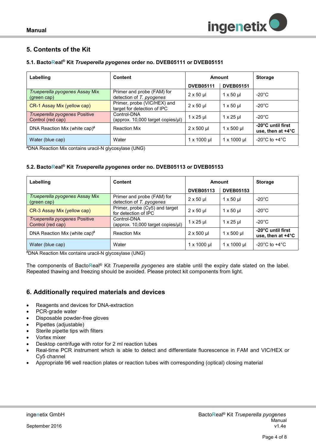### <span id="page-3-0"></span>**5. Contents of the Kit**

#### <span id="page-3-1"></span>**5.1. BactoReal® Kit** *Trueperella pyogenes* **order no. DVEB05111 or DVEB05151**

| Labelling                                          | <b>Content</b>                                             | Amount             |                         | <b>Storage</b>                                   |
|----------------------------------------------------|------------------------------------------------------------|--------------------|-------------------------|--------------------------------------------------|
|                                                    |                                                            | <b>DVEB05111</b>   | <b>DVEB05151</b>        |                                                  |
| Trueperella pyogenes Assay Mix<br>(green cap)      | Primer and probe (FAM) for<br>detection of T. pyogenes     | $2 \times 50$ µ    | $1 \times 50 \text{ µ}$ | $-20^{\circ}$ C                                  |
| CR-1 Assay Mix (yellow cap)                        | Primer, probe (VIC/HEX) and<br>target for detection of IPC | $2 \times 50$ µ    | $1 \times 50$ µ         | $-20^{\circ}$ C                                  |
| Trueperella pyogenes Positive<br>Control (red cap) | Control-DNA<br>(approx. 10,000 target copies/µl)           | $1 \times 25$ µ    | $1 \times 25$ µ         | -20°C                                            |
| DNA Reaction Mix (white cap)#                      | <b>Reaction Mix</b>                                        | $2 \times 500$ µl  | $1 \times 500$ µl       | -20°C until first<br>use, then at $+4^{\circ}$ C |
| Water (blue cap)                                   | Water                                                      | $1 \times 1000$ µl | $1 \times 1000 \mu$     | -20 $^{\circ}$ C to +4 $^{\circ}$ C              |

#DNA Reaction Mix contains uracil-N glycosylase (UNG)

#### <span id="page-3-2"></span>**5.2. BactoReal® Kit** *Trueperella pyogenes* **order no. DVEB05113 or DVEB05153**

| Labelling                                          | <b>Content</b>                                         | Amount             |                                | <b>Storage</b>                                   |
|----------------------------------------------------|--------------------------------------------------------|--------------------|--------------------------------|--------------------------------------------------|
|                                                    |                                                        | <b>DVEB05113</b>   | <b>DVEB05153</b>               |                                                  |
| Trueperella pyogenes Assay Mix<br>(green cap)      | Primer and probe (FAM) for<br>detection of T. pyogenes | $2 \times 50$ µ    | $1 \times 50 \text{ µ}$        | $-20^{\circ}$ C                                  |
| CR-3 Assay Mix (yellow cap)                        | Primer, probe (Cy5) and target<br>for detection of IPC | $2 \times 50$ µ    | $1 \times 50$ µ                | $-20^{\circ}$ C                                  |
| Trueperella pyogenes Positive<br>Control (red cap) | Control-DNA<br>(approx. 10,000 target copies/µl)       | $1 \times 25$ µ    | $1 \times 25$ µ                | $-20^{\circ}$ C                                  |
| DNA Reaction Mix (white cap)#                      | <b>Reaction Mix</b>                                    | $2 \times 500$ µl  | $1 \times 500$ µl              | -20°C until first<br>use, then at $+4^{\circ}$ C |
| Water (blue cap)                                   | Water                                                  | $1 \times 1000$ µl | $1 \times 1000 \,\mathrm{\mu}$ | -20 $^{\circ}$ C to +4 $^{\circ}$ C              |

#DNA Reaction Mix contains uracil-N glycosylase (UNG)

The components of Bacto**R**eal® Kit *Trueperella pyogenes* are stable until the expiry date stated on the label. Repeated thawing and freezing should be avoided. Please protect kit components from light.

#### <span id="page-3-3"></span>**6. Additionally required materials and devices**

- Reagents and devices for DNA-extraction
- PCR-grade water
- Disposable powder-free gloves
- Pipettes (adjustable)
- Sterile pipette tips with filters
- Vortex mixer
- Desktop centrifuge with rotor for 2 ml reaction tubes
- Real-time PCR instrument which is able to detect and differentiate fluorescence in FAM and VIC/HEX or Cy5 channel
- Appropriate 96 well reaction plates or reaction tubes with corresponding (optical) closing material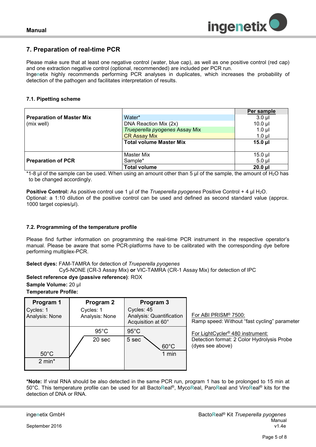

#### <span id="page-4-0"></span>**7. Preparation of real-time PCR**

Please make sure that at least one negative control (water, blue cap), as well as one positive control (red cap) and one extraction negative control (optional, recommended) are included per PCR run.

Inge**n**etix highly recommends performing PCR analyses in duplicates, which increases the probability of detection of the pathogen and facilitates interpretation of results*.*

#### <span id="page-4-1"></span>**7.1. Pipetting scheme**

|                                  |                                | Per sample   |
|----------------------------------|--------------------------------|--------------|
| <b>Preparation of Master Mix</b> | Water*                         | $3.0$ ul     |
| (mix well)                       | DNA Reaction Mix (2x)          | $10.0$ $\mu$ |
|                                  | Trueperella pyogenes Assay Mix | $1.0 \mu$    |
|                                  | <b>CR Assay Mix</b>            | $1.0$ $\mu$  |
|                                  | <b>Total volume Master Mix</b> | $15.0$ µl    |
|                                  |                                |              |
|                                  | <b>Master Mix</b>              | $15.0$ µl    |
| <b>Preparation of PCR</b>        | Sample*                        | $5.0$ ul     |
|                                  | <b>Total volume</b>            | $20.0$ $\mu$ |

\*1-8  $\mu$  of the sample can be used. When using an amount other than 5  $\mu$  of the sample, the amount of H<sub>2</sub>O has to be changed accordingly.

**Positive Control:** As positive control use 1 µl of the *Trueperella pyogenes* Positive Control + 4 µl H<sub>2</sub>O. Optional: a 1:10 dilution of the positive control can be used and defined as second standard value (approx. 1000 target copies/µl).

#### <span id="page-4-2"></span>**7.2. Programming of the temperature profile**

Please find further information on programming the real-time PCR instrument in the respective operator's manual. Please be aware that some PCR-platforms have to be calibrated with the corresponding dye before performing multiplex-PCR.

**Select dyes:** FAM-TAMRA for detection of *Trueperella pyogenes*

Cy5-NONE (CR-3 Assay Mix) **or** VIC-TAMRA (CR-1 Assay Mix) for detection of IPC

**Select reference dye (passive reference)**: ROX **Sample Volume:** 20 µl

**Temperature Profile:** 

| Program 1<br>Cycles: 1<br>Analysis: None | Program 2<br>Cycles: 1<br>Analysis: None | Program 3<br>Cycles: 45<br>Analysis: Quantification<br>Acquisition at 60° | For ABI PRISM® 7500:<br>Ramp speed: Without "fast cycling" parameter                                           |
|------------------------------------------|------------------------------------------|---------------------------------------------------------------------------|----------------------------------------------------------------------------------------------------------------|
| $50^{\circ}$ C<br>$2 \text{ min}^*$      | $95^{\circ}$ C<br>20 sec                 | $95^{\circ}$ C<br>5 sec<br>$60^{\circ}$ C<br>$1$ min                      | For LightCycler <sup>®</sup> 480 instrument:<br>Detection format: 2 Color Hydrolysis Probe<br>(dyes see above) |

**\*Note:** If viral RNA should be also detected in the same PCR run, program 1 has to be prolonged to 15 min at 50°C. This temperature profile can be used for all Bacto**R**eal®, Myco**R**eal, Paro**R**eal and Viro**R**eal® kits for the detection of DNA or RNA.

September 2016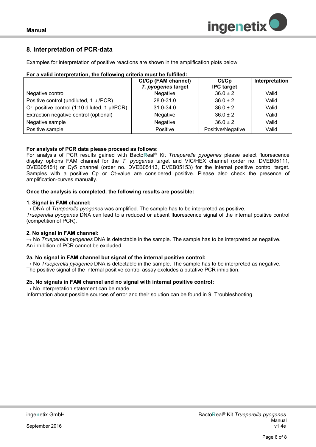

#### <span id="page-5-0"></span>**8. Interpretation of PCR-data**

Examples for interpretation of positive reactions are shown in the amplification plots below.

| For a valid interpretation, the following criteria must be fulfilled: |  |
|-----------------------------------------------------------------------|--|
|                                                                       |  |

|                                               | Ct/Cp (FAM channel) | Ct/Cp             | Interpretation |
|-----------------------------------------------|---------------------|-------------------|----------------|
|                                               | T. pyogenes target  | <b>IPC target</b> |                |
| Negative control                              | <b>Negative</b>     | $36.0 \pm 2$      | Valid          |
| Positive control (undiluted, 1 µl/PCR)        | 28.0-31.0           | $36.0 \pm 2$      | Valid          |
| Or: positive control (1:10 diluted, 1 µl/PCR) | $31.0 - 34.0$       | $36.0 \pm 2$      | Valid          |
| Extraction negative control (optional)        | Negative            | $36.0 \pm 2$      | Valid          |
| Negative sample                               | Negative            | $36.0 \pm 2$      | Valid          |
| Positive sample                               | Positive            | Positive/Negative | Valid          |

#### **For analysis of PCR data please proceed as follows:**

For analysis of PCR results gained with Bacto**R**eal® Kit *Trueperella pyogenes* please select fluorescence display options FAM channel for the *T. pyogenes* target and VIC/HEX channel (order no. DVEB05111, DVEB05151) or Cy5 channel (order no. DVEB05113, DVEB05153) for the internal positive control target. Samples with a positive Cp or Ct-value are considered positive. Please also check the presence of amplification-curves manually.

#### **Once the analysis is completed, the following results are possible:**

#### **1. Signal in FAM channel:**

→ DNA of *Trueperella pyogenes* was amplified. The sample has to be interpreted as positive.

*Trueperella pyogenes* DNA can lead to a reduced or absent fluorescence signal of the internal positive control (competition of PCR).

#### **2. No signal in FAM channel:**

→ No *Trueperella pyogenes* DNA is detectable in the sample. The sample has to be interpreted as negative. An inhibition of PCR cannot be excluded.

#### **2a. No signal in FAM channel but signal of the internal positive control:**

→ No *Trueperella pyogenes* DNA is detectable in the sample. The sample has to be interpreted as negative. The positive signal of the internal positive control assay excludes a putative PCR inhibition.

#### **2b. No signals in FAM channel and no signal with internal positive control:**

 $\rightarrow$  No interpretation statement can be made. Information about possible sources of error and their solution can be found in 9. Troubleshooting.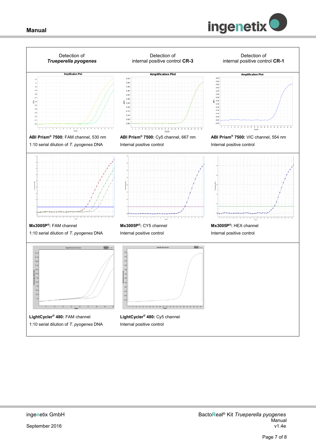